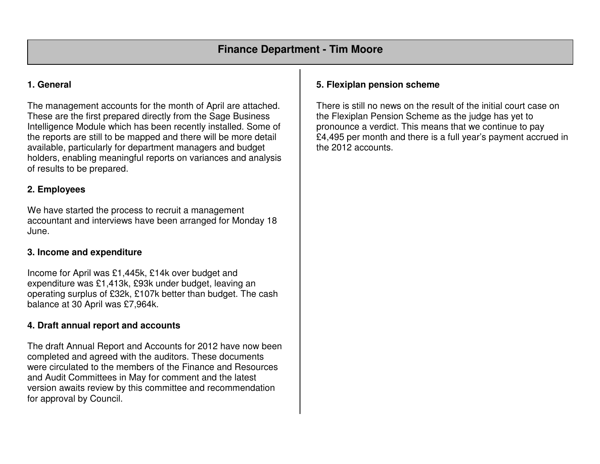## **1. General**

The management accounts for the month of April are attached. These are the first prepared directly from the Sage Business Intelligence Module which has been recently installed. Some of the reports are still to be mapped and there will be more detail available, particularly for department managers and budget holders, enabling meaningful reports on variances and analysis of results to be prepared.

## **2. Employees**

We have started the process to recruit a management accountant and interviews have been arranged for Monday 18 June.

## **3. Income and expenditure**

Income for April was £1,445k, £14k over budget and expenditure was £1,413k, £93k under budget, leaving an operating surplus of £32k, £107k better than budget. The cash balance at 30 April was £7,964k.

## **4. Draft annual report and accounts**

The draft Annual Report and Accounts for 2012 have now been completed and agreed with the auditors. These documents were circulated to the members of the Finance and Resources and Audit Committees in May for comment and the latest version awaits review by this committee and recommendation for approval by Council.

## **5. Flexiplan pension scheme**

There is still no news on the result of the initial court case on the Flexiplan Pension Scheme as the judge has yet to pronounce a verdict. This means that we continue to pay £4,495 per month and there is a full year's payment accrued in the 2012 accounts.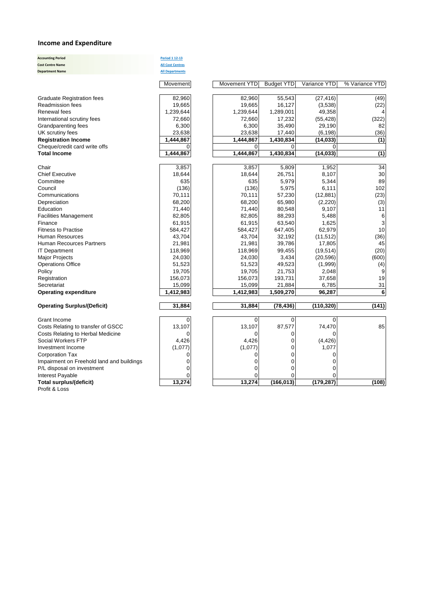#### **Income and Expenditure**

**Accounting Period Period 1 12-13 Cost Centre Name All Cost Centres Department Name All Departments**

| <b>Graduate Registration fees</b>  | 82,960    | 82,960    | 55,543    | (27, 416)  | (49)           |
|------------------------------------|-----------|-----------|-----------|------------|----------------|
| <b>Readmission fees</b>            | 19,665    | 19,665    | 16,127    | (3,538)    | (22)           |
| Renewal fees                       | 1,239,644 | 1,239,644 | 1,289,001 | 49,358     |                |
| International scrutiny fees        | 72,660    | 72,660    | 17,232    | (55, 428)  | (322)          |
| Grandparenting fees                | 6,300     | 6,300     | 35,490    | 29,190     | 82             |
| UK scrutiny fees                   | 23,638    | 23,638    | 17,440    | (6, 198)   | (36)           |
| <b>Registration Income</b>         | 1,444,867 | 1,444,867 | 1,430,834 | (14, 033)  | (1)            |
| Cheque/credit card write offs      | $\Omega$  | 0         | $\Omega$  | 0          |                |
| <b>Total Income</b>                | 1,444,867 | 1,444,867 | 1,430,834 | (14, 033)  | (1)            |
| Chair                              | 3,857     | 3,857     | 5,809     | 1,952      | 34             |
| <b>Chief Executive</b>             | 18,644    | 18,644    | 26,751    | 8,107      | 3 <sub>C</sub> |
| Committee                          | 635       | 635       | 5,979     | 5,344      | 89             |
| Council                            | (136)     | (136)     | 5,975     | 6,111      | 102            |
| Communications                     | 70,111    | 70,111    | 57,230    | (12, 881)  | (23)           |
| Depreciation                       | 68,200    | 68,200    | 65,980    | (2,220)    | (3)            |
| Education                          | 71,440    | 71,440    | 80,548    | 9,107      | 11             |
| <b>Facilities Management</b>       | 82,805    | 82,805    | 88,293    | 5,488      | $\epsilon$     |
| Finance                            | 61,915    | 61,915    | 63,540    | 1,625      | 3              |
| <b>Fitness to Practise</b>         | 584,427   | 584,427   | 647,405   | 62,979     | 1 <sub>C</sub> |
| <b>Human Resources</b>             | 43,704    | 43,704    | 32,192    | (11, 512)  | (36)           |
| <b>Human Recources Partners</b>    | 21,981    | 21,981    | 39,786    | 17,805     | 45             |
| <b>IT Department</b>               | 118,969   | 118,969   | 99,455    | (19, 514)  | (20)           |
| <b>Major Projects</b>              | 24,030    | 24,030    | 3,434     | (20, 596)  | (600)          |
| <b>Operations Office</b>           | 51,523    | 51,523    | 49,523    | (1,999)    | (4)            |
| Policy                             | 19,705    | 19,705    | 21,753    | 2,048      |                |
| Registration                       | 156,073   | 156,073   | 193,731   | 37,658     | 1 <sup>c</sup> |
| Secretariat                        | 15,099    | 15,099    | 21,884    | 6,785      | 31             |
| <b>Operating expenditure</b>       | 1,412,983 | 1,412,983 | 1,509,270 | 96,287     | 6              |
| <b>Operating Surplus/(Deficit)</b> | 31,884    | 31,884    | (78, 436) | (110, 320) | (141)          |
|                                    |           |           |           |            |                |
| Grant Income                       | 0         | 0         | 0'        | 0          |                |
| Costs Relating to transfer of GSCC | 13,107    | 13,107    | 87,577    | 74,470     | 85             |
| Costs Relating to Herbal Medicine  | 0         | 0         | 0         |            |                |
| Social Workers FTP                 | 4.426     | 4.426     | 0         | (4.426)    |                |

Profit & Loss

| Renewal fees                              | 1,239,644 | 1,239,644 | 1,289,001  | 49,358     |                  |
|-------------------------------------------|-----------|-----------|------------|------------|------------------|
| International scrutiny fees               | 72,660    | 72,660    | 17,232     | (55, 428)  | (322)            |
| Grandparenting fees                       | 6,300     | 6,300     | 35,490     | 29,190     | 82               |
| UK scrutiny fees                          | 23,638    | 23,638    | 17,440     | (6, 198)   | (36)             |
| <b>Registration Income</b>                | 1,444,867 | 1,444,867 | 1,430,834  | (14, 033)  | (1)              |
| Cheque/credit card write offs             | 0         | $\Omega$  | 0          | 0          |                  |
| <b>Total Income</b>                       | 1,444,867 | 1,444,867 | 1,430,834  | (14, 033)  | $\overline{(1)}$ |
| Chair                                     | 3,857     | 3,857     | 5,809      | 1,952      | 34               |
| <b>Chief Executive</b>                    | 18,644    | 18,644    | 26,751     | 8,107      | 30               |
| Committee                                 | 635       | 635       | 5,979      | 5,344      | 89               |
| Council                                   | (136)     | (136)     | 5,975      | 6,111      | 102              |
| Communications                            | 70,111    | 70,111    | 57,230     | (12, 881)  | (23)             |
| Depreciation                              | 68,200    | 68,200    | 65,980     | (2,220)    | (3)              |
| Education                                 | 71,440    | 71,440    | 80,548     | 9,107      | 11               |
| <b>Facilities Management</b>              | 82,805    | 82,805    | 88,293     | 5,488      | 6                |
| Finance                                   | 61,915    | 61,915    | 63,540     | 1,625      | 3                |
| <b>Fitness to Practise</b>                | 584,427   | 584,427   | 647,405    | 62,979     | 10               |
| Human Resources                           | 43,704    | 43,704    | 32,192     | (11, 512)  | (36)             |
| <b>Human Recources Partners</b>           | 21,981    | 21,981    | 39,786     | 17,805     | 45               |
| <b>IT Department</b>                      | 118,969   | 118,969   | 99,455     | (19, 514)  | (20)             |
| <b>Major Projects</b>                     | 24,030    | 24,030    | 3,434      | (20, 596)  | (600)            |
| <b>Operations Office</b>                  | 51,523    | 51,523    | 49,523     | (1,999)    | (4)              |
| Policy                                    | 19,705    | 19,705    | 21,753     | 2,048      | 9                |
| Registration                              | 156,073   | 156,073   | 193,731    | 37,658     | 19               |
| Secretariat                               | 15,099    | 15,099    | 21,884     | 6,785      | 31               |
| <b>Operating expenditure</b>              | 1,412,983 | 1,412,983 | 1,509,270  | 96,287     | 6                |
| <b>Operating Surplus/(Deficit)</b>        | 31,884    | 31,884    | (78, 436)  | (110, 320) | (141)            |
|                                           |           |           |            |            |                  |
| Grant Income                              | $\Omega$  | $\Omega$  | 0          | $\Omega$   |                  |
| Costs Relating to transfer of GSCC        | 13,107    | 13,107    | 87,577     | 74,470     | 85               |
| Costs Relating to Herbal Medicine         | $\Omega$  | $\Omega$  | 0          | ∩          |                  |
| Social Workers FTP                        | 4,426     | 4,426     | 0          | (4, 426)   |                  |
| Investment Income                         | (1,077)   | (1,077)   | 0          | 1,077      |                  |
| <b>Corporation Tax</b>                    | $\Omega$  | $\Omega$  | 0          | 0          |                  |
| Impairment on Freehold land and buildings | 0         | 0         | 0          |            |                  |
| P/L disposal on investment                | ∩         | 0         | 0          | 0          |                  |
| Interest Payable                          |           |           |            |            |                  |
| Total surplus/(deficit)                   | 13,274    | 13,274    | (166, 013) | (179, 287) | (108)            |

Movement Movement YTD Budget YTD Variance YTD % Variance YTD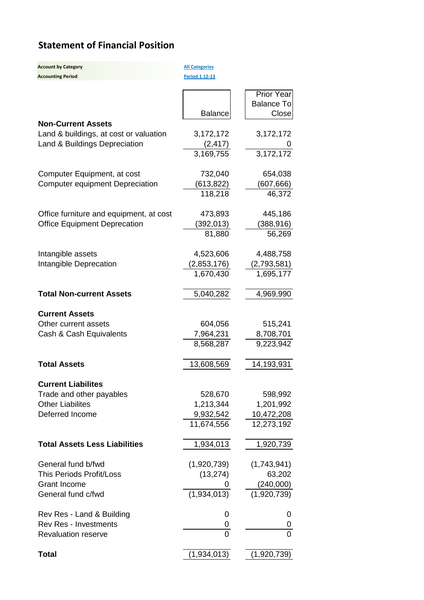# **Statement of Financial Position**

| <b>Account by Category</b><br><b>Accounting Period</b> | <b>All Categories</b><br>Period 1 12-13 |                                          |
|--------------------------------------------------------|-----------------------------------------|------------------------------------------|
|                                                        | <b>Balance</b>                          | Prior Year<br><b>Balance To</b><br>Close |
| <b>Non-Current Assets</b>                              |                                         |                                          |
| Land & buildings, at cost or valuation                 | 3,172,172                               | 3,172,172                                |
| Land & Buildings Depreciation                          | (2, 417)                                |                                          |
|                                                        | 3,169,755                               | 3,172,172                                |
| Computer Equipment, at cost                            | 732,040                                 | 654,038                                  |
| <b>Computer equipment Depreciation</b>                 | (613, 822)                              | (607, 666)                               |
|                                                        | 118,218                                 | 46,372                                   |
| Office furniture and equipment, at cost                | 473,893                                 | 445,186                                  |
| <b>Office Equipment Deprecation</b>                    | (392, 013)                              | (388, 916)                               |
|                                                        | 81,880                                  | 56,269                                   |
| Intangible assets                                      | 4,523,606                               | 4,488,758                                |
| Intangible Deprecation                                 | (2,853,176)                             | (2,793,581)                              |
|                                                        | 1,670,430                               | 1,695,177                                |
| <b>Total Non-current Assets</b>                        | 5,040,282                               | 4,969,990                                |
| <b>Current Assets</b>                                  |                                         |                                          |
| Other current assets                                   | 604,056                                 | 515,241                                  |
| Cash & Cash Equivalents                                | 7,964,231                               | 8,708,701                                |
|                                                        | 8,568,287                               | 9,223,942                                |
| <b>Total Assets</b>                                    | 13,608,569                              | 14,193,931                               |
| <b>Current Liabilites</b>                              |                                         |                                          |
| Trade and other payables                               | 528,670                                 | 598,992                                  |
| <b>Other Liabilites</b>                                | 1,213,344                               | 1,201,992                                |
| Deferred Income                                        | 9,932,542                               | 10,472,208                               |
|                                                        | 11,674,556                              | 12,273,192                               |
| <b>Total Assets Less Liabilities</b>                   | 1,934,013                               | 1,920,739                                |
| General fund b/fwd                                     | (1,920,739)                             | (1,743,941)                              |
| <b>This Periods Profit/Loss</b>                        | (13, 274)                               | 63,202                                   |
| <b>Grant Income</b>                                    |                                         | (240,000)                                |
| General fund c/fwd                                     | (1,934,013)                             | (1,920,739)                              |
| Rev Res - Land & Building                              | 0                                       | 0                                        |
| <b>Rev Res - Investments</b>                           | 0                                       | 0                                        |
| Revaluation reserve                                    | 0                                       | 0                                        |
| Total                                                  | (1,934,013)                             | (1,920,739)                              |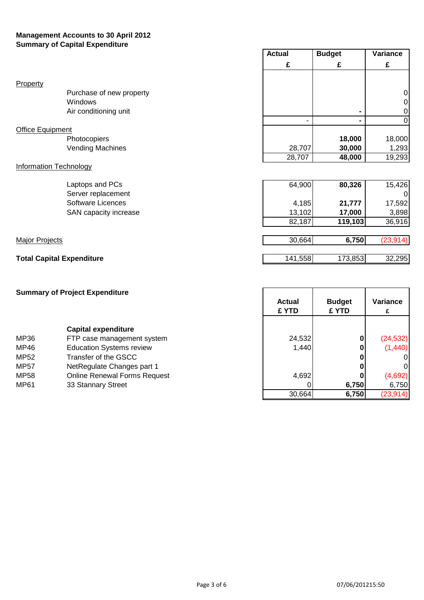### **Management Accounts to 30 April 2012 Summary of Capital Expenditure**

|                                  |                          | <b>Actual</b> | <b>Budget</b> | Variance  |
|----------------------------------|--------------------------|---------------|---------------|-----------|
|                                  |                          | £             | £             | £         |
| Property                         |                          |               |               |           |
|                                  | Purchase of new property |               |               | $\Omega$  |
|                                  | Windows                  |               |               | 0         |
|                                  | Air conditioning unit    |               |               | 0         |
|                                  |                          |               |               | 0         |
| <b>Office Equipment</b>          |                          |               |               |           |
|                                  | Photocopiers             |               | 18,000        | 18,000    |
|                                  | <b>Vending Machines</b>  | 28,707        | 30,000        | 1,293     |
|                                  |                          | 28,707        | 48,000        | 19,293    |
| <b>Information Technology</b>    |                          |               |               |           |
|                                  | Laptops and PCs          | 64,900        | 80,326        | 15,426    |
|                                  | Server replacement       |               |               |           |
|                                  | <b>Software Licences</b> | 4,185         | 21,777        | 17,592    |
|                                  | SAN capacity increase    | 13,102        | 17,000        | 3,898     |
|                                  |                          | 82,187        | 119,103       | 36,916    |
|                                  |                          |               |               |           |
| <b>Major Projects</b>            |                          | 30,664        | 6,750         | (23, 914) |
|                                  |                          |               |               |           |
| <b>Total Capital Expenditure</b> |                          | 141,558       | 173,853       | 32,295    |

|             | <b>Summary of Project Expenditure</b> | <b>Actual</b><br>£ YTD | <b>Budget</b><br>£ YTD | Variance<br>£ |
|-------------|---------------------------------------|------------------------|------------------------|---------------|
|             | <b>Capital expenditure</b>            |                        |                        |               |
| MP36        | FTP case management system            | 24,532                 | 0                      | (24, 532)     |
| MP46        | <b>Education Systems review</b>       | 1,440                  |                        | (1,440)       |
| <b>MP52</b> | Transfer of the GSCC                  |                        |                        | ΟI            |
| <b>MP57</b> | NetRegulate Changes part 1            |                        |                        | 01            |
| <b>MP58</b> | <b>Online Renewal Forms Request</b>   | 4,692                  |                        | (4,692)       |
| MP61        | 33 Stannary Street                    |                        | 6,750                  | 6,750         |
|             |                                       | 30,664                 | 6,750                  | (23, 914)     |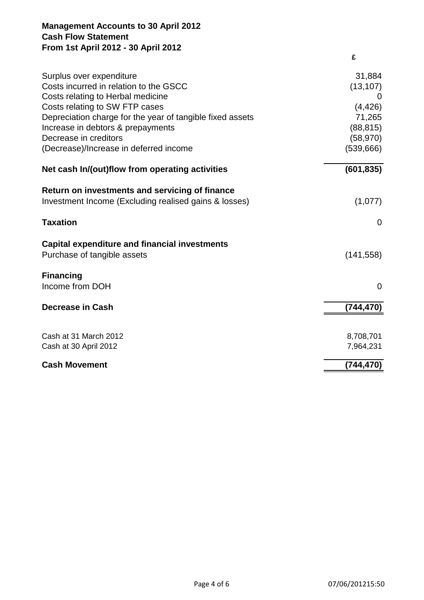## **Management Accounts to 30 April 2012 Cash Flow Statement From 1st April 2012 - 30 April 2012**

|                                                           | £            |
|-----------------------------------------------------------|--------------|
| Surplus over expenditure                                  | 31,884       |
| Costs incurred in relation to the GSCC                    | (13, 107)    |
| Costs relating to Herbal medicine                         | $\mathbf{U}$ |
| Costs relating to SW FTP cases                            | (4, 426)     |
| Depreciation charge for the year of tangible fixed assets | 71,265       |
| Increase in debtors & prepayments                         | (88, 815)    |
| Decrease in creditors                                     | (58, 970)    |
| (Decrease)/Increase in deferred income                    | (539, 666)   |
| Net cash In/(out)flow from operating activities           | (601, 835)   |
| Return on investments and servicing of finance            |              |
| Investment Income (Excluding realised gains & losses)     | (1,077)      |
|                                                           |              |
| <b>Taxation</b>                                           | $\Omega$     |
| <b>Capital expenditure and financial investments</b>      |              |
| Purchase of tangible assets                               | (141, 558)   |
|                                                           |              |
| <b>Financing</b>                                          |              |
| Income from DOH                                           | $\mathbf 0$  |
| <b>Decrease in Cash</b>                                   | (744, 470)   |
|                                                           |              |
| Cash at 31 March 2012                                     | 8,708,701    |
| Cash at 30 April 2012                                     | 7,964,231    |
|                                                           |              |
| <b>Cash Movement</b>                                      | (744, 470)   |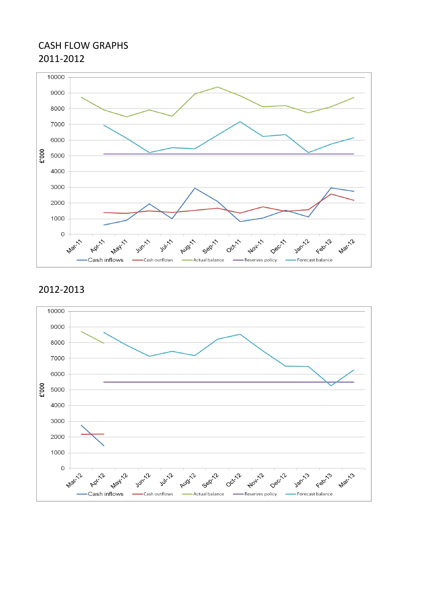# CASH FLOW GRAPHS 2011-2012



# 2012-2013